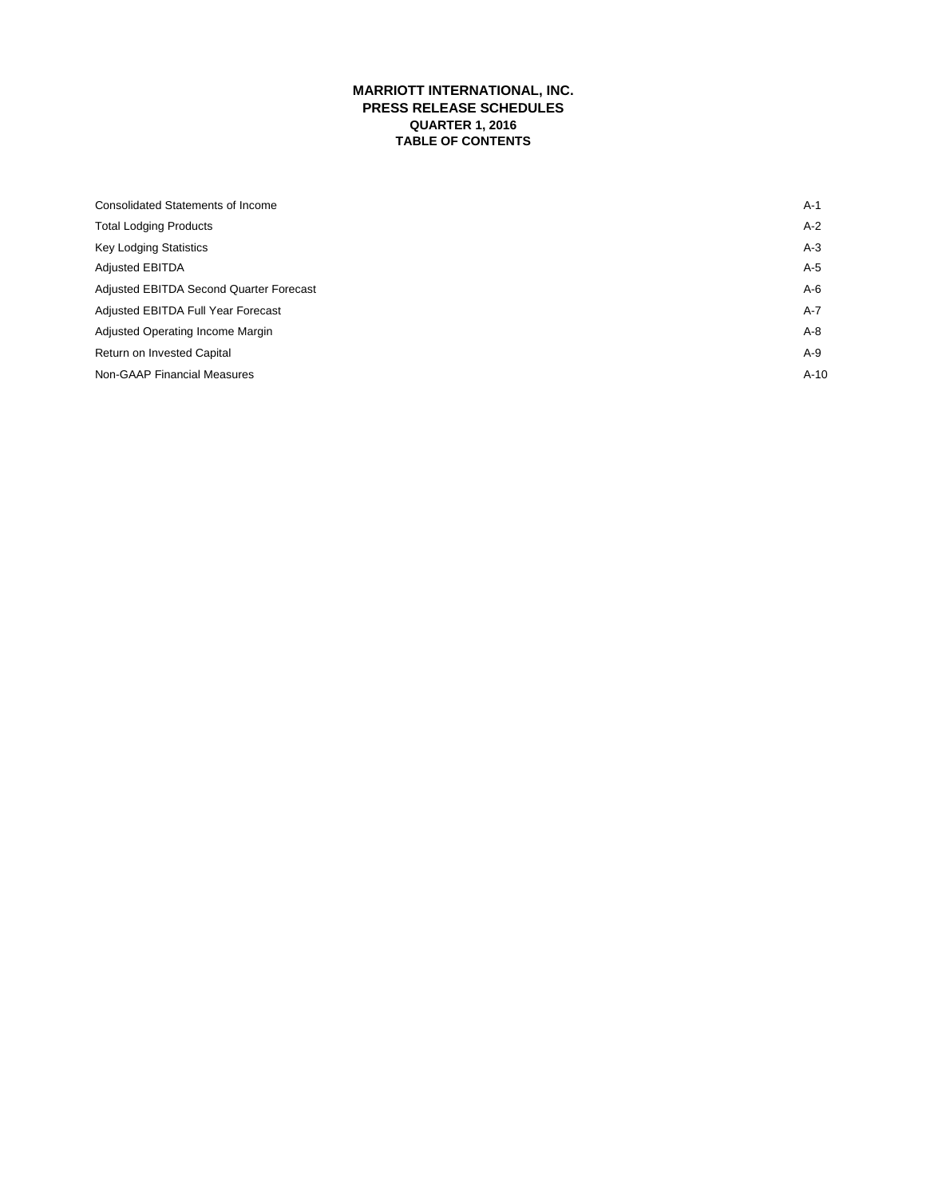# **MARRIOTT INTERNATIONAL, INC. PRESS RELEASE SCHEDULES QUARTER 1, 2016 TABLE OF CONTENTS**

| Consolidated Statements of Income       | $A-1$  |
|-----------------------------------------|--------|
| <b>Total Lodging Products</b>           | $A-2$  |
| <b>Key Lodging Statistics</b>           | $A-3$  |
| <b>Adjusted EBITDA</b>                  | A-5    |
| Adjusted EBITDA Second Quarter Forecast | $A-6$  |
| Adjusted EBITDA Full Year Forecast      | $A-7$  |
| Adjusted Operating Income Margin        | $A-8$  |
| Return on Invested Capital              | A-9    |
| <b>Non-GAAP Financial Measures</b>      | $A-10$ |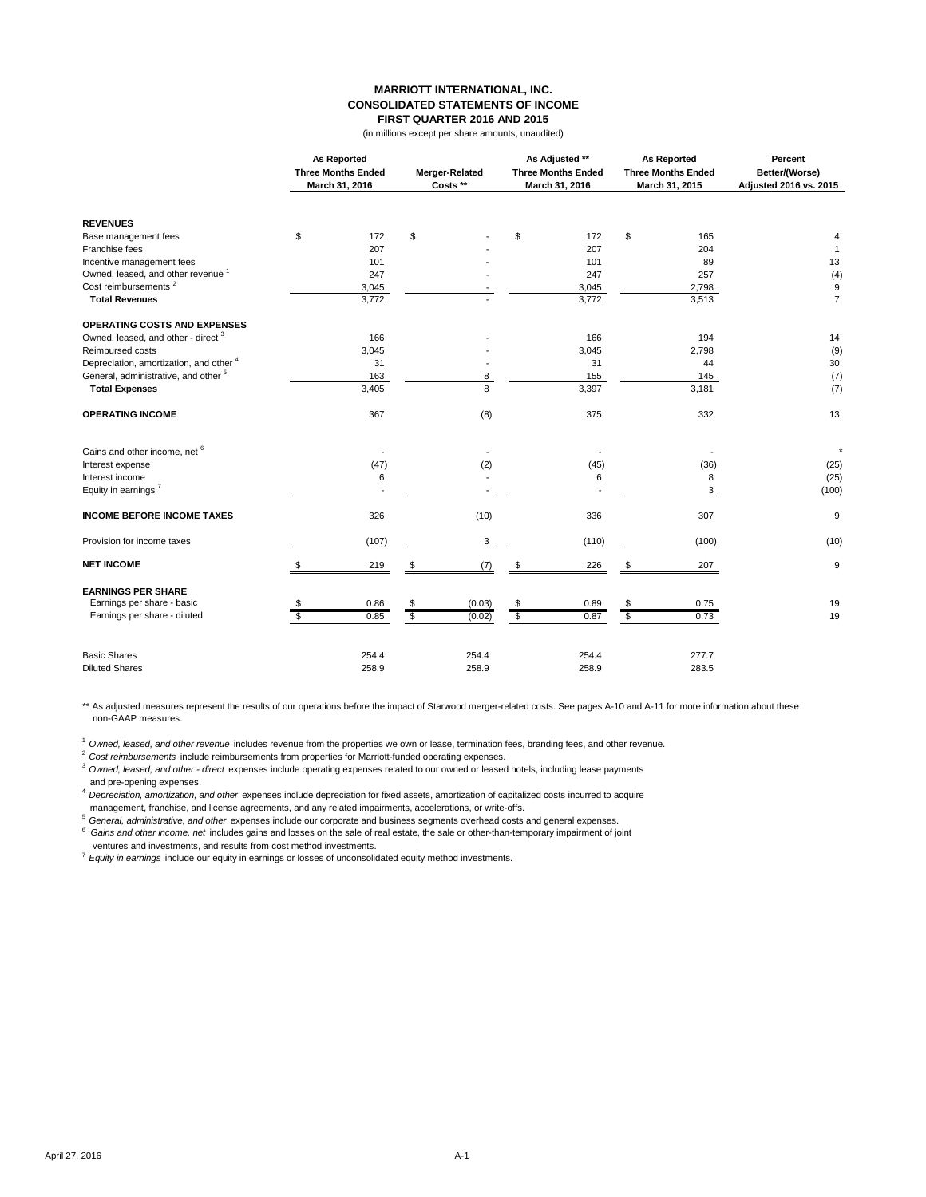#### **MARRIOTT INTERNATIONAL, INC. CONSOLIDATED STATEMENTS OF INCOME FIRST QUARTER 2016 AND 2015**

(in millions except per share amounts, unaudited)

|                                                 |    | <b>As Reported</b><br>March 31, 2016 |    | <b>Three Months Ended</b> |    | Merger-Related<br>Costs ** | As Adjusted **<br><b>Three Months Ended</b><br>March 31, 2016 |       | <b>As Reported</b><br><b>Three Months Ended</b><br>March 31, 2015 |  | Percent<br>Better/(Worse)<br>Adjusted 2016 vs. 2015 |
|-------------------------------------------------|----|--------------------------------------|----|---------------------------|----|----------------------------|---------------------------------------------------------------|-------|-------------------------------------------------------------------|--|-----------------------------------------------------|
| <b>REVENUES</b>                                 |    |                                      |    |                           |    |                            |                                                               |       |                                                                   |  |                                                     |
| Base management fees                            | \$ | 172                                  | \$ |                           | \$ | 172                        | \$                                                            | 165   | 4                                                                 |  |                                                     |
| Franchise fees                                  |    | 207                                  |    |                           |    | 207                        |                                                               | 204   | $\mathbf{1}$                                                      |  |                                                     |
| Incentive management fees                       |    | 101                                  |    |                           |    | 101                        |                                                               | 89    | 13                                                                |  |                                                     |
| Owned, leased, and other revenue <sup>1</sup>   |    | 247                                  |    |                           |    | 247                        |                                                               | 257   | (4)                                                               |  |                                                     |
| Cost reimbursements <sup>2</sup>                |    | 3,045                                |    |                           |    | 3,045                      |                                                               | 2,798 | 9                                                                 |  |                                                     |
| <b>Total Revenues</b>                           |    | 3,772                                |    |                           |    | 3,772                      |                                                               | 3,513 | $\overline{7}$                                                    |  |                                                     |
| <b>OPERATING COSTS AND EXPENSES</b>             |    |                                      |    |                           |    |                            |                                                               |       |                                                                   |  |                                                     |
| Owned, leased, and other - direct <sup>3</sup>  |    | 166                                  |    |                           |    | 166                        |                                                               | 194   | 14                                                                |  |                                                     |
| Reimbursed costs                                |    | 3,045                                |    |                           |    | 3,045                      |                                                               | 2,798 | (9)                                                               |  |                                                     |
| Depreciation, amortization, and other 4         |    | 31                                   |    |                           |    | 31                         |                                                               | 44    | 30                                                                |  |                                                     |
| General, administrative, and other <sup>5</sup> |    | 163                                  |    | 8                         |    | 155                        |                                                               | 145   | (7)                                                               |  |                                                     |
| <b>Total Expenses</b>                           |    | 3,405                                |    | 8                         |    | 3,397                      |                                                               | 3,181 | (7)                                                               |  |                                                     |
| <b>OPERATING INCOME</b>                         |    | 367                                  |    | (8)                       |    | 375                        |                                                               | 332   | 13                                                                |  |                                                     |
| Gains and other income, net <sup>6</sup>        |    |                                      |    |                           |    |                            |                                                               |       | $^\star$                                                          |  |                                                     |
| Interest expense                                |    | (47)                                 |    | (2)                       |    | (45)                       |                                                               | (36)  | (25)                                                              |  |                                                     |
| Interest income                                 |    | 6                                    |    |                           |    | 6                          |                                                               | 8     | (25)                                                              |  |                                                     |
| Equity in earnings <sup>7</sup>                 |    |                                      |    |                           |    |                            |                                                               | 3     | (100)                                                             |  |                                                     |
|                                                 |    |                                      |    |                           |    |                            |                                                               |       |                                                                   |  |                                                     |
| <b>INCOME BEFORE INCOME TAXES</b>               |    | 326                                  |    | (10)                      |    | 336                        |                                                               | 307   | 9                                                                 |  |                                                     |
| Provision for income taxes                      |    | (107)                                |    | 3                         |    | (110)                      |                                                               | (100) | (10)                                                              |  |                                                     |
| <b>NET INCOME</b>                               | \$ | 219                                  | \$ | (7)                       | \$ | 226                        | \$                                                            | 207   | 9                                                                 |  |                                                     |
| <b>EARNINGS PER SHARE</b>                       |    |                                      |    |                           |    |                            |                                                               |       |                                                                   |  |                                                     |
| Earnings per share - basic                      |    | 0.86                                 | \$ | (0.03)                    |    | 0.89                       |                                                               | 0.75  | 19                                                                |  |                                                     |
| Earnings per share - diluted                    |    | 0.85                                 | s, | (0.02)                    | s. | 0.87                       | $\overline{\mathbf{s}}$                                       | 0.73  | 19                                                                |  |                                                     |
| <b>Basic Shares</b>                             |    | 254.4                                |    | 254.4                     |    | 254.4                      |                                                               | 277.7 |                                                                   |  |                                                     |
| <b>Diluted Shares</b>                           |    | 258.9                                |    | 258.9                     |    | 258.9                      |                                                               | 283.5 |                                                                   |  |                                                     |
|                                                 |    |                                      |    |                           |    |                            |                                                               |       |                                                                   |  |                                                     |

\*\* As adjusted measures represent the results of our operations before the impact of Starwood merger-related costs. See pages A-10 and A-11 for more information about these non-GAAP measures.

<sup>1</sup>*Owned, leased, and other revenue* includes revenue from the properties we own or lease, termination fees, branding fees, and other revenue.

<sup>2</sup>*Cost reimbursements* include reimbursements from properties for Marriott-funded operating expenses.

<sup>3</sup>*Owned, leased, and other - direct* expenses include operating expenses related to our owned or leased hotels, including lease payments and pre-opening expenses.

<sup>4</sup>*Depreciation, amortization, and other* expenses include depreciation for fixed assets, amortization of capitalized costs incurred to acquire management, franchise, and license agreements, and any related impairments, accelerations, or write-offs.

<sup>5</sup>*General, administrative, and other* expenses include our corporate and business segments overhead costs and general expenses. 6

 *Gains and other income, net* includes gains and losses on the sale of real estate, the sale or other-than-temporary impairment of joint ventures and investments, and results from cost method investments.

<sup>7</sup>*Equity in earnings* include our equity in earnings or losses of unconsolidated equity method investments.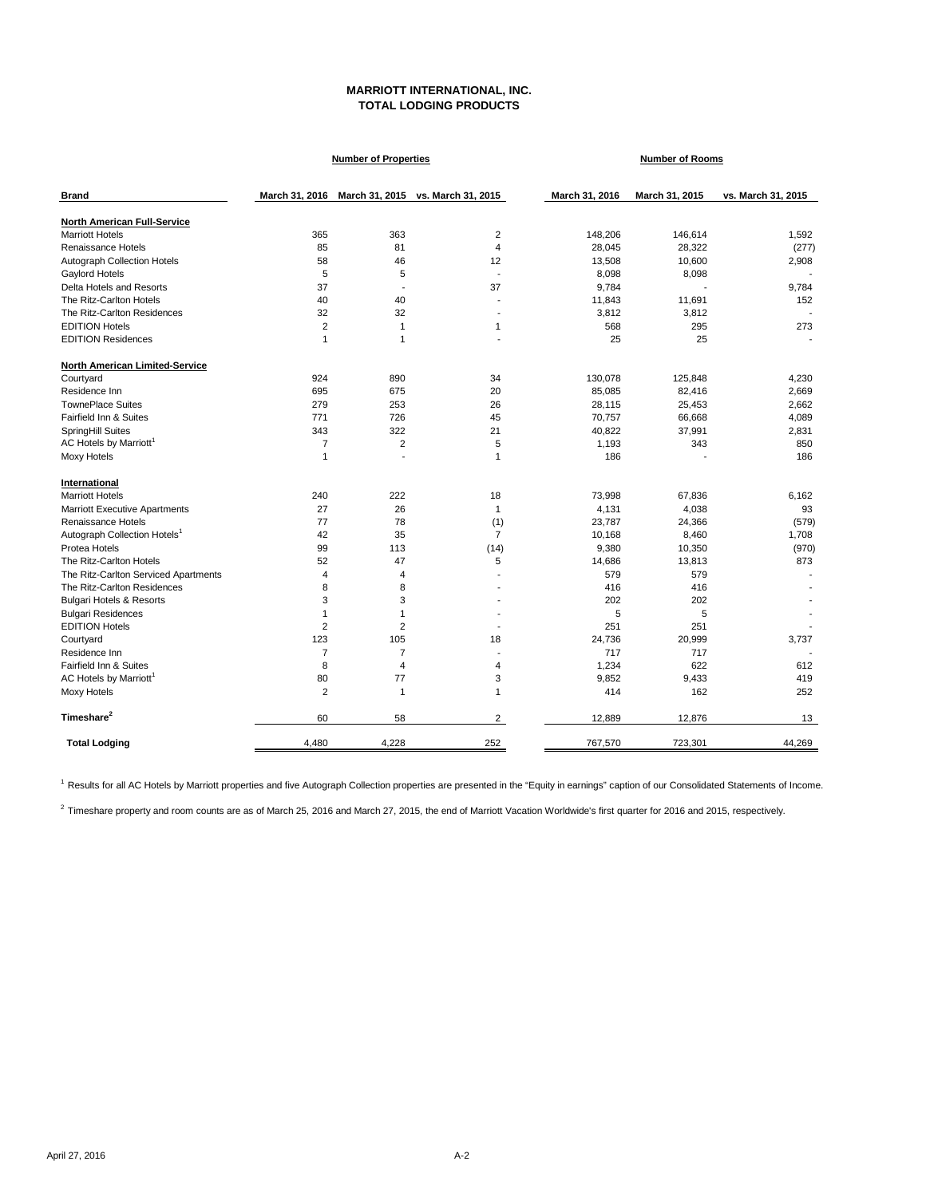# **MARRIOTT INTERNATIONAL, INC. TOTAL LODGING PRODUCTS**

|                                          |                | <b>Number of Properties</b> |                                                  | <b>Number of Rooms</b> |                |                    |
|------------------------------------------|----------------|-----------------------------|--------------------------------------------------|------------------------|----------------|--------------------|
| <b>Brand</b>                             |                |                             | March 31, 2016 March 31, 2015 vs. March 31, 2015 | March 31, 2016         | March 31, 2015 | vs. March 31, 2015 |
| North American Full-Service              |                |                             |                                                  |                        |                |                    |
| <b>Marriott Hotels</b>                   | 365            | 363                         | $\overline{2}$                                   | 148,206                | 146,614        | 1.592              |
| Renaissance Hotels                       | 85             | 81                          | $\overline{4}$                                   | 28,045                 | 28,322         | (277)              |
| Autograph Collection Hotels              | 58             | 46                          | 12                                               | 13,508                 | 10,600         | 2,908              |
| Gaylord Hotels                           | 5              | 5                           |                                                  | 8,098                  | 8,098          |                    |
| Delta Hotels and Resorts                 | 37             | $\overline{\phantom{a}}$    | 37                                               | 9,784                  |                | 9,784              |
| The Ritz-Carlton Hotels                  | 40             | 40                          |                                                  | 11,843                 | 11,691         | 152                |
| The Ritz-Carlton Residences              | 32             | 32                          |                                                  | 3,812                  | 3,812          |                    |
| <b>EDITION Hotels</b>                    | $\overline{2}$ | $\mathbf{1}$                | 1                                                | 568                    | 295            | 273                |
| <b>EDITION Residences</b>                | $\mathbf{1}$   | 1                           |                                                  | 25                     | 25             |                    |
| North American Limited-Service           |                |                             |                                                  |                        |                |                    |
| Courtyard                                | 924            | 890                         | 34                                               | 130,078                | 125,848        | 4,230              |
| Residence Inn                            | 695            | 675                         | 20                                               | 85,085                 | 82,416         | 2,669              |
| <b>TownePlace Suites</b>                 | 279            | 253                         | 26                                               | 28,115                 | 25,453         | 2,662              |
| Fairfield Inn & Suites                   | 771            | 726                         | 45                                               | 70,757                 | 66,668         | 4,089              |
| SpringHill Suites                        | 343            | 322                         | 21                                               | 40,822                 | 37,991         | 2,831              |
| AC Hotels by Marriott <sup>1</sup>       | 7              | $\overline{2}$              | 5                                                | 1,193                  | 343            | 850                |
| Moxy Hotels                              | $\mathbf{1}$   |                             | 1                                                | 186                    |                | 186                |
| International                            |                |                             |                                                  |                        |                |                    |
| <b>Marriott Hotels</b>                   | 240            | 222                         | 18                                               | 73,998                 | 67,836         | 6,162              |
| <b>Marriott Executive Apartments</b>     | 27             | 26                          | 1                                                | 4,131                  | 4,038          | 93                 |
| Renaissance Hotels                       | 77             | 78                          | (1)                                              | 23,787                 | 24,366         | (579)              |
| Autograph Collection Hotels <sup>1</sup> | 42             | 35                          | $\overline{7}$                                   | 10,168                 | 8,460          | 1,708              |
| Protea Hotels                            | 99             | 113                         | (14)                                             | 9,380                  | 10,350         | (970)              |
| The Ritz-Carlton Hotels                  | 52             | 47                          | 5                                                | 14,686                 | 13,813         | 873                |
| The Ritz-Carlton Serviced Apartments     | 4              | 4                           |                                                  | 579                    | 579            |                    |
| The Ritz-Carlton Residences              | 8              | 8                           |                                                  | 416                    | 416            |                    |
| <b>Bulgari Hotels &amp; Resorts</b>      | 3              | 3                           |                                                  | 202                    | 202            |                    |
| <b>Bulgari Residences</b>                | $\mathbf{1}$   | $\mathbf{1}$                | $\overline{a}$                                   | 5                      | 5              |                    |
| <b>EDITION Hotels</b>                    | $\overline{2}$ | $\overline{2}$              |                                                  | 251                    | 251            |                    |
| Courtyard                                | 123            | 105                         | 18                                               | 24,736                 | 20,999         | 3,737              |
| Residence Inn                            | 7              | $\overline{7}$              |                                                  | 717                    | 717            |                    |
| Fairfield Inn & Suites                   | 8              | $\overline{4}$              | 4                                                | 1,234                  | 622            | 612                |
| AC Hotels by Marriott <sup>1</sup>       | 80             | 77                          | 3                                                | 9,852                  | 9,433          | 419                |
| Moxy Hotels                              | $\overline{2}$ | $\overline{1}$              | $\mathbf{1}$                                     | 414                    | 162            | 252                |
| Timeshare <sup>2</sup>                   | 60             | 58                          | $\overline{2}$                                   | 12,889                 | 12,876         | 13                 |
| <b>Total Lodging</b>                     | 4,480          | 4,228                       | 252                                              | 767,570                | 723,301        | 44,269             |

1 Results for all AC Hotels by Marriott properties and five Autograph Collection properties are presented in the "Equity in earnings" caption of our Consolidated Statements of Income.

 $^2$  Timeshare property and room counts are as of March 25, 2016 and March 27, 2015, the end of Marriott Vacation Worldwide's first quarter for 2016 and 2015, respectively.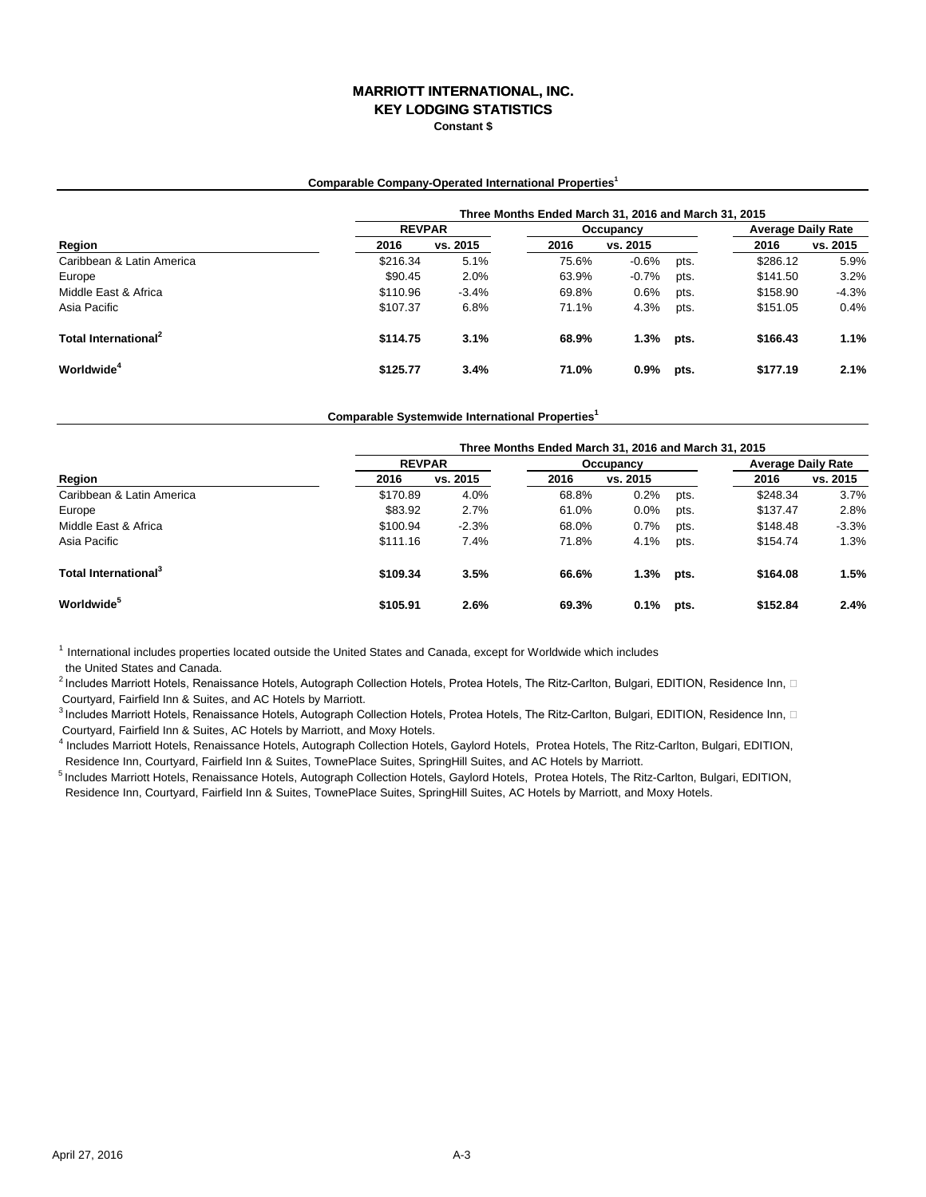#### **MARRIOTT INTERNATIONAL, INC. KEY LODGING STATISTICS**

**Constant \$**

#### **Comparable Company-Operated International Properties<sup>1</sup>**

|                                  | Three Months Ended March 31, 2016 and March 31, 2015 |          |       |           |                           |          |          |  |  |  |
|----------------------------------|------------------------------------------------------|----------|-------|-----------|---------------------------|----------|----------|--|--|--|
|                                  | <b>REVPAR</b>                                        |          |       | Occupancy | <b>Average Daily Rate</b> |          |          |  |  |  |
| Region                           | 2016                                                 | vs. 2015 | 2016  | vs. 2015  |                           | 2016     | vs. 2015 |  |  |  |
| Caribbean & Latin America        | \$216.34                                             | 5.1%     | 75.6% | $-0.6%$   | pts.                      | \$286.12 | 5.9%     |  |  |  |
| Europe                           | \$90.45                                              | 2.0%     | 63.9% | $-0.7%$   | pts.                      | \$141.50 | 3.2%     |  |  |  |
| Middle East & Africa             | \$110.96                                             | $-3.4%$  | 69.8% | 0.6%      | pts.                      | \$158.90 | $-4.3%$  |  |  |  |
| Asia Pacific                     | \$107.37                                             | 6.8%     | 71.1% | 4.3%      | pts.                      | \$151.05 | 0.4%     |  |  |  |
| Total International <sup>2</sup> | \$114.75                                             | 3.1%     | 68.9% | 1.3%      | pts.                      | \$166.43 | 1.1%     |  |  |  |
| Worldwide <sup>4</sup>           | \$125.77                                             | 3.4%     | 71.0% | $0.9\%$   | pts.                      | \$177.19 | 2.1%     |  |  |  |

**Comparable Systemwide International Properties<sup>1</sup>**

|                                  | Three Months Ended March 31, 2016 and March 31, 2015 |          |       |           |                           |          |          |  |  |  |
|----------------------------------|------------------------------------------------------|----------|-------|-----------|---------------------------|----------|----------|--|--|--|
| Region                           | <b>REVPAR</b>                                        |          |       | Occupancy | <b>Average Daily Rate</b> |          |          |  |  |  |
|                                  | 2016                                                 | vs. 2015 | 2016  | vs. 2015  |                           | 2016     | vs. 2015 |  |  |  |
| Caribbean & Latin America        | \$170.89                                             | 4.0%     | 68.8% | 0.2%      | pts.                      | \$248.34 | 3.7%     |  |  |  |
| Europe                           | \$83.92                                              | 2.7%     | 61.0% | 0.0%      | pts.                      | \$137.47 | 2.8%     |  |  |  |
| Middle East & Africa             | \$100.94                                             | $-2.3%$  | 68.0% | 0.7%      | pts.                      | \$148.48 | $-3.3%$  |  |  |  |
| Asia Pacific                     | \$111.16                                             | 7.4%     | 71.8% | 4.1%      | pts.                      | \$154.74 | 1.3%     |  |  |  |
| Total International <sup>3</sup> | \$109.34                                             | 3.5%     | 66.6% | 1.3%      | pts.                      | \$164.08 | 1.5%     |  |  |  |
| <b>Worldwide</b> <sup>5</sup>    | \$105.91                                             | 2.6%     | 69.3% | 0.1%      | pts.                      | \$152.84 | 2.4%     |  |  |  |

 $<sup>1</sup>$  International includes properties located outside the United States and Canada, except for Worldwide which includes</sup> the United States and Canada.

 $^2$ Includes Marriott Hotels, Renaissance Hotels, Autograph Collection Hotels, Protea Hotels, The Ritz-Carlton, Bulgari, EDITION, Residence Inn,  $\Box$ Courtyard, Fairfield Inn & Suites, and AC Hotels by Marriott.

 $^3$ Includes Marriott Hotels, Renaissance Hotels, Autograph Collection Hotels, Protea Hotels, The Ritz-Carlton, Bulgari, EDITION, Residence Inn,  $\Box$ Courtyard, Fairfield Inn & Suites, AC Hotels by Marriott, and Moxy Hotels.

4 Includes Marriott Hotels, Renaissance Hotels, Autograph Collection Hotels, Gaylord Hotels, Protea Hotels, The Ritz-Carlton, Bulgari, EDITION, Residence Inn, Courtyard, Fairfield Inn & Suites, TownePlace Suites, SpringHill Suites, and AC Hotels by Marriott.

5 Includes Marriott Hotels, Renaissance Hotels, Autograph Collection Hotels, Gaylord Hotels, Protea Hotels, The Ritz-Carlton, Bulgari, EDITION, Residence Inn, Courtyard, Fairfield Inn & Suites, TownePlace Suites, SpringHill Suites, AC Hotels by Marriott, and Moxy Hotels.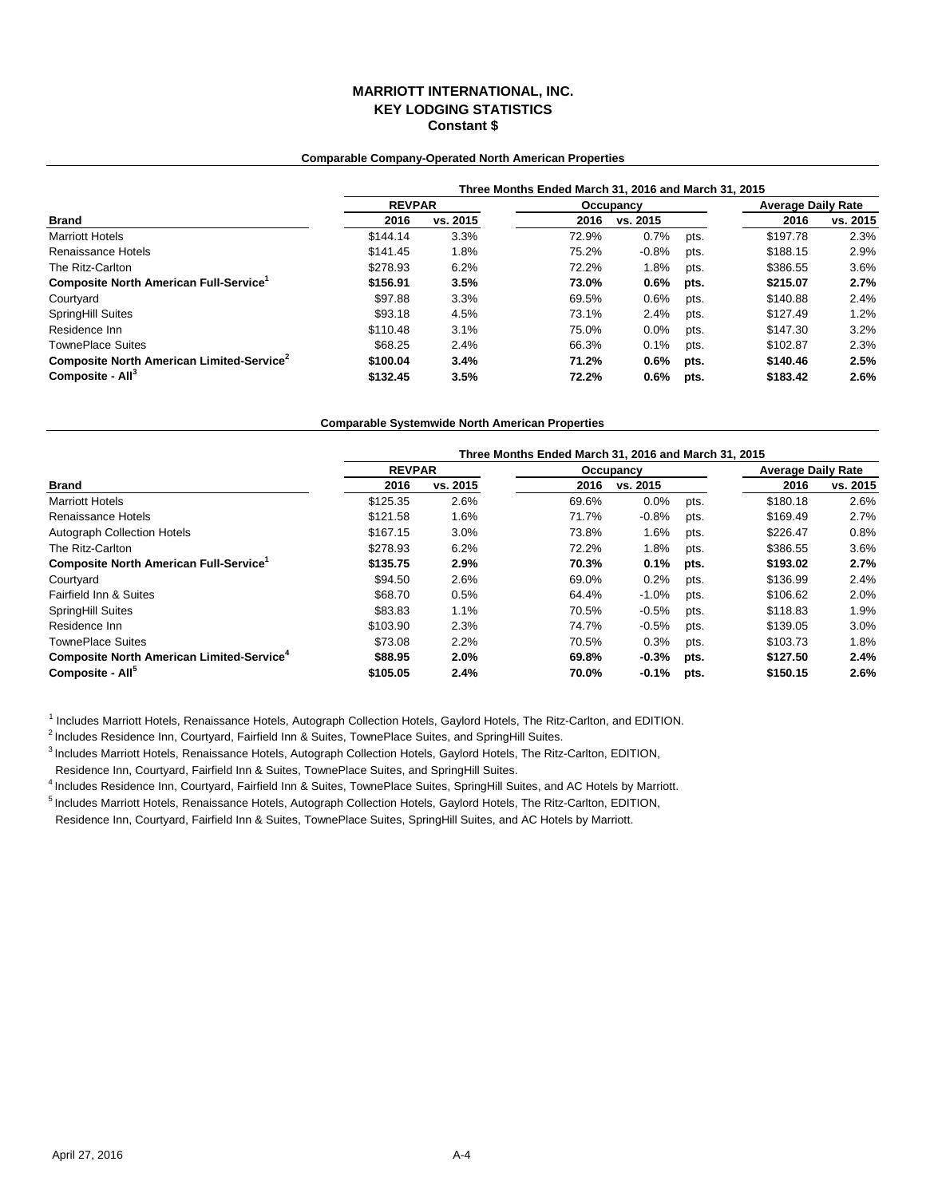# **MARRIOTT INTERNATIONAL, INC. KEY LODGING STATISTICS Constant \$**

#### **Comparable Company-Operated North American Properties**

|                                                       | Three Months Ended March 31, 2016 and March 31, 2015 |          |       |           |                           |          |          |  |  |  |
|-------------------------------------------------------|------------------------------------------------------|----------|-------|-----------|---------------------------|----------|----------|--|--|--|
|                                                       | <b>REVPAR</b>                                        |          |       | Occupancy | <b>Average Daily Rate</b> |          |          |  |  |  |
| <b>Brand</b>                                          | 2016                                                 | vs. 2015 | 2016  | vs. 2015  |                           | 2016     | vs. 2015 |  |  |  |
| <b>Marriott Hotels</b>                                | \$144.14                                             | 3.3%     | 72.9% | 0.7%      | pts.                      | \$197.78 | 2.3%     |  |  |  |
| Renaissance Hotels                                    | \$141.45                                             | 1.8%     | 75.2% | $-0.8%$   | pts.                      | \$188.15 | 2.9%     |  |  |  |
| The Ritz-Carlton                                      | \$278.93                                             | 6.2%     | 72.2% | 1.8%      | pts.                      | \$386.55 | 3.6%     |  |  |  |
| Composite North American Full-Service <sup>1</sup>    | \$156.91                                             | 3.5%     | 73.0% | $0.6\%$   | pts.                      | \$215.07 | 2.7%     |  |  |  |
| Courtyard                                             | \$97.88                                              | 3.3%     | 69.5% | 0.6%      | pts.                      | \$140.88 | 2.4%     |  |  |  |
| <b>SpringHill Suites</b>                              | \$93.18                                              | 4.5%     | 73.1% | 2.4%      | pts.                      | \$127.49 | 1.2%     |  |  |  |
| Residence Inn                                         | \$110.48                                             | 3.1%     | 75.0% | 0.0%      | pts.                      | \$147.30 | 3.2%     |  |  |  |
| <b>TownePlace Suites</b>                              | \$68.25                                              | 2.4%     | 66.3% | 0.1%      | pts.                      | \$102.87 | 2.3%     |  |  |  |
| Composite North American Limited-Service <sup>2</sup> | \$100.04                                             | 3.4%     | 71.2% | 0.6%      | pts.                      | \$140.46 | 2.5%     |  |  |  |
| Composite - All <sup>3</sup>                          | \$132.45                                             | 3.5%     | 72.2% | 0.6%      | pts.                      | \$183.42 | 2.6%     |  |  |  |

#### **Comparable Systemwide North American Properties**

|                                                             | Three Months Ended March 31, 2016 and March 31, 2015 |          |       |           |                           |          |          |  |  |  |
|-------------------------------------------------------------|------------------------------------------------------|----------|-------|-----------|---------------------------|----------|----------|--|--|--|
| <b>Brand</b>                                                | <b>REVPAR</b>                                        |          |       | Occupancy | <b>Average Daily Rate</b> |          |          |  |  |  |
|                                                             | 2016                                                 | vs. 2015 | 2016  | vs. 2015  |                           | 2016     | vs. 2015 |  |  |  |
| <b>Marriott Hotels</b>                                      | \$125.35                                             | 2.6%     | 69.6% | 0.0%      | pts.                      | \$180.18 | 2.6%     |  |  |  |
| Renaissance Hotels                                          | \$121.58                                             | 1.6%     | 71.7% | $-0.8%$   | pts.                      | \$169.49 | 2.7%     |  |  |  |
| <b>Autograph Collection Hotels</b>                          | \$167.15                                             | 3.0%     | 73.8% | 1.6%      | pts.                      | \$226.47 | 0.8%     |  |  |  |
| The Ritz-Carlton                                            | \$278.93                                             | 6.2%     | 72.2% | 1.8%      | pts.                      | \$386.55 | 3.6%     |  |  |  |
| Composite North American Full-Service <sup>1</sup>          | \$135.75                                             | 2.9%     | 70.3% | 0.1%      | pts.                      | \$193.02 | 2.7%     |  |  |  |
| Courtyard                                                   | \$94.50                                              | 2.6%     | 69.0% | 0.2%      | pts.                      | \$136.99 | 2.4%     |  |  |  |
| <b>Fairfield Inn &amp; Suites</b>                           | \$68.70                                              | 0.5%     | 64.4% | $-1.0%$   | pts.                      | \$106.62 | 2.0%     |  |  |  |
| <b>SpringHill Suites</b>                                    | \$83.83                                              | 1.1%     | 70.5% | $-0.5%$   | pts.                      | \$118.83 | 1.9%     |  |  |  |
| Residence Inn                                               | \$103.90                                             | 2.3%     | 74.7% | $-0.5%$   | pts.                      | \$139.05 | 3.0%     |  |  |  |
| <b>TownePlace Suites</b>                                    | \$73.08                                              | 2.2%     | 70.5% | 0.3%      | pts.                      | \$103.73 | 1.8%     |  |  |  |
| <b>Composite North American Limited-Service<sup>4</sup></b> | \$88.95                                              | 2.0%     | 69.8% | $-0.3%$   | pts.                      | \$127.50 | 2.4%     |  |  |  |
| Composite - All <sup>5</sup>                                | \$105.05                                             | 2.4%     | 70.0% | $-0.1%$   | pts.                      | \$150.15 | 2.6%     |  |  |  |

<sup>1</sup> Includes Marriott Hotels, Renaissance Hotels, Autograph Collection Hotels, Gaylord Hotels, The Ritz-Carlton, and EDITION.

<sup>2</sup> Includes Residence Inn, Courtyard, Fairfield Inn & Suites, TownePlace Suites, and SpringHill Suites.

3 Includes Marriott Hotels, Renaissance Hotels, Autograph Collection Hotels, Gaylord Hotels, The Ritz-Carlton, EDITION,

Residence Inn, Courtyard, Fairfield Inn & Suites, TownePlace Suites, and SpringHill Suites.

4 Includes Residence Inn, Courtyard, Fairfield Inn & Suites, TownePlace Suites, SpringHill Suites, and AC Hotels by Marriott.

5 Includes Marriott Hotels, Renaissance Hotels, Autograph Collection Hotels, Gaylord Hotels, The Ritz-Carlton, EDITION, Residence Inn, Courtyard, Fairfield Inn & Suites, TownePlace Suites, SpringHill Suites, and AC Hotels by Marriott.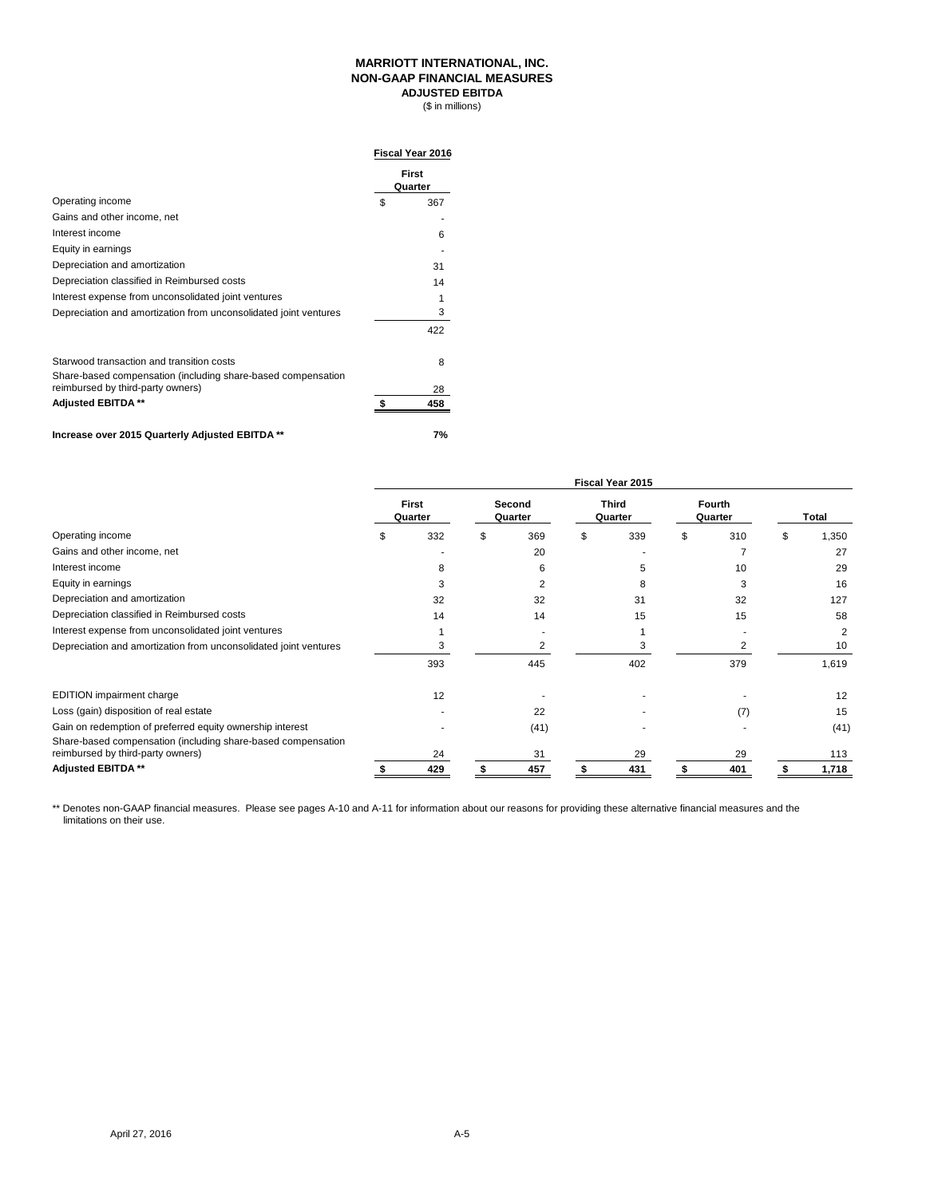#### **MARRIOTT INTERNATIONAL, INC. NON-GAAP FINANCIAL MEASURES ADJUSTED EBITDA**

 $($ in millions)$ 

|                                                                                                           | <b>Fiscal Year 2016</b> |
|-----------------------------------------------------------------------------------------------------------|-------------------------|
|                                                                                                           | First<br>Quarter        |
| Operating income                                                                                          | \$<br>367               |
| Gains and other income, net                                                                               |                         |
| Interest income                                                                                           | 6                       |
| Equity in earnings                                                                                        |                         |
| Depreciation and amortization                                                                             | 31                      |
| Depreciation classified in Reimbursed costs                                                               | 14                      |
| Interest expense from unconsolidated joint ventures                                                       |                         |
| Depreciation and amortization from unconsolidated joint ventures                                          | 3                       |
|                                                                                                           | 422                     |
| Starwood transaction and transition costs<br>Share-based compensation (including share-based compensation | 8                       |
| reimbursed by third-party owners)                                                                         | 28                      |
| Adjusted EBITDA **                                                                                        | 458                     |
|                                                                                                           |                         |

#### **Increase over 2015 Quarterly Adjusted EBITDA \*\* 7%**

|                                                                                                   | Fiscal Year 2015 |                         |  |                   |   |                         |  |                          |    |       |
|---------------------------------------------------------------------------------------------------|------------------|-------------------------|--|-------------------|---|-------------------------|--|--------------------------|----|-------|
|                                                                                                   |                  | <b>First</b><br>Quarter |  | Second<br>Quarter |   | <b>Third</b><br>Quarter |  | <b>Fourth</b><br>Quarter |    | Total |
| Operating income                                                                                  |                  | 332                     |  | 369               | S | 339                     |  | 310                      | \$ | 1,350 |
| Gains and other income, net                                                                       |                  |                         |  | 20                |   |                         |  |                          |    | 27    |
| Interest income                                                                                   |                  | 8                       |  | 6                 |   | 5                       |  | 10                       |    | 29    |
| Equity in earnings                                                                                |                  |                         |  | 2                 |   | 8                       |  |                          |    | 16    |
| Depreciation and amortization                                                                     |                  | 32                      |  | 32                |   | 31                      |  | 32                       |    | 127   |
| Depreciation classified in Reimbursed costs                                                       |                  | 14                      |  | 14                |   | 15                      |  | 15                       |    | 58    |
| Interest expense from unconsolidated joint ventures                                               |                  |                         |  |                   |   |                         |  |                          |    | 2     |
| Depreciation and amortization from unconsolidated joint ventures                                  |                  | 3                       |  | 2                 |   |                         |  |                          |    | 10    |
|                                                                                                   |                  | 393                     |  | 445               |   | 402                     |  | 379                      |    | 1,619 |
| <b>EDITION</b> impairment charge                                                                  |                  | 12                      |  |                   |   |                         |  |                          |    | 12    |
| Loss (gain) disposition of real estate                                                            |                  |                         |  | 22                |   |                         |  | (7)                      |    | 15    |
| Gain on redemption of preferred equity ownership interest                                         |                  |                         |  | (41)              |   |                         |  |                          |    | (41)  |
| Share-based compensation (including share-based compensation<br>reimbursed by third-party owners) |                  | 24                      |  | 31                |   | 29                      |  | 29                       |    | 113   |
| Adjusted EBITDA **                                                                                |                  | 429                     |  | 457               |   | 431                     |  | 401                      |    | 1,718 |

\*\* Denotes non-GAAP financial measures. Please see pages A-10 and A-11 for information about our reasons for providing these alternative financial measures and the limitations on their use.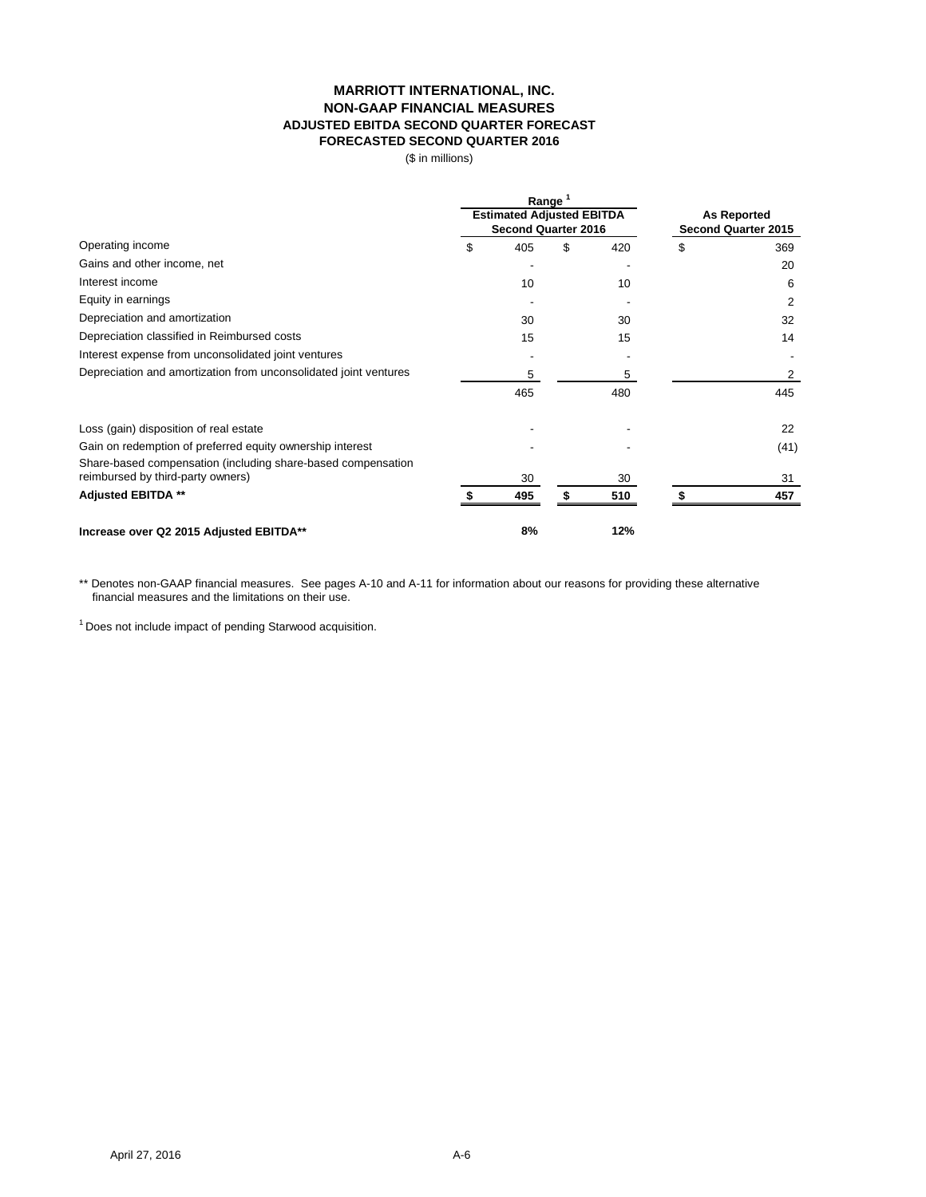# **MARRIOTT INTERNATIONAL, INC. NON-GAAP FINANCIAL MEASURES ADJUSTED EBITDA SECOND QUARTER FORECAST FORECASTED SECOND QUARTER 2016**

(\$ in millions)

|                                                                  |                                  | Range                      |                     |     |                    |      |  |
|------------------------------------------------------------------|----------------------------------|----------------------------|---------------------|-----|--------------------|------|--|
|                                                                  | <b>Estimated Adjusted EBITDA</b> |                            |                     |     | <b>As Reported</b> |      |  |
|                                                                  |                                  | <b>Second Quarter 2016</b> | Second Quarter 2015 |     |                    |      |  |
| Operating income                                                 | \$                               | 405                        | \$                  | 420 | \$                 | 369  |  |
| Gains and other income, net                                      |                                  |                            |                     |     |                    | 20   |  |
| Interest income                                                  |                                  | 10                         |                     | 10  |                    | 6    |  |
| Equity in earnings                                               |                                  |                            |                     |     |                    | 2    |  |
| Depreciation and amortization                                    |                                  | 30                         |                     | 30  |                    | 32   |  |
| Depreciation classified in Reimbursed costs                      |                                  | 15                         |                     | 15  |                    | 14   |  |
| Interest expense from unconsolidated joint ventures              |                                  |                            |                     |     |                    |      |  |
| Depreciation and amortization from unconsolidated joint ventures |                                  | 5                          |                     | 5   |                    | 2    |  |
|                                                                  |                                  | 465                        |                     | 480 |                    | 445  |  |
| Loss (gain) disposition of real estate                           |                                  |                            |                     |     |                    | 22   |  |
| Gain on redemption of preferred equity ownership interest        |                                  |                            |                     |     |                    | (41) |  |
| Share-based compensation (including share-based compensation     |                                  |                            |                     |     |                    |      |  |
| reimbursed by third-party owners)                                |                                  | 30                         |                     | 30  |                    | 31   |  |
| <b>Adjusted EBITDA **</b>                                        |                                  | 495                        |                     | 510 |                    | 457  |  |
| Increase over Q2 2015 Adjusted EBITDA**                          |                                  | 8%                         |                     | 12% |                    |      |  |

\*\* Denotes non-GAAP financial measures. See pages A-10 and A-11 for information about our reasons for providing these alternative financial measures and the limitations on their use.

<sup>1</sup> Does not include impact of pending Starwood acquisition.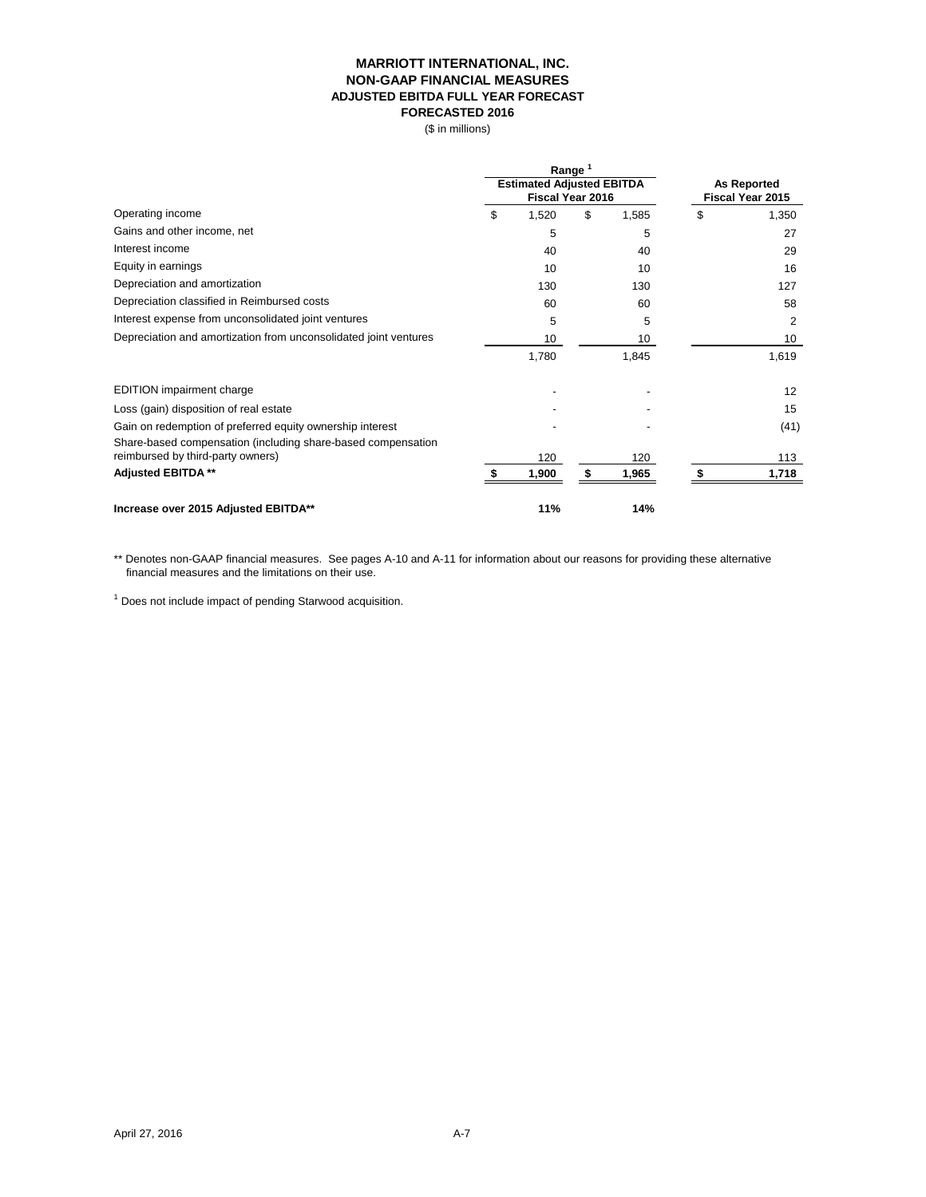#### **MARRIOTT INTERNATIONAL, INC. NON-GAAP FINANCIAL MEASURES ADJUSTED EBITDA FULL YEAR FORECAST FORECASTED 2016**

(\$ in millions)

|                                                                                                   | Range                            |    |                    |    |                  |
|---------------------------------------------------------------------------------------------------|----------------------------------|----|--------------------|----|------------------|
|                                                                                                   | <b>Estimated Adjusted EBITDA</b> |    | <b>As Reported</b> |    |                  |
|                                                                                                   | Fiscal Year 2016                 |    |                    |    | Fiscal Year 2015 |
| Operating income                                                                                  | \$<br>1,520                      | \$ | 1,585              | \$ | 1,350            |
| Gains and other income, net                                                                       | 5                                |    | 5                  |    | 27               |
| Interest income                                                                                   | 40                               |    | 40                 |    | 29               |
| Equity in earnings                                                                                | 10                               |    | 10                 |    | 16               |
| Depreciation and amortization                                                                     | 130                              |    | 130                |    | 127              |
| Depreciation classified in Reimbursed costs                                                       | 60                               |    | 60                 |    | 58               |
| Interest expense from unconsolidated joint ventures                                               | 5                                |    | 5                  |    | 2                |
| Depreciation and amortization from unconsolidated joint ventures                                  | 10                               |    | 10                 |    | 10               |
|                                                                                                   | 1,780                            |    | 1,845              |    | 1,619            |
| <b>EDITION</b> impairment charge                                                                  |                                  |    |                    |    | 12               |
| Loss (gain) disposition of real estate                                                            |                                  |    |                    |    | 15               |
| Gain on redemption of preferred equity ownership interest                                         |                                  |    |                    |    | (41)             |
| Share-based compensation (including share-based compensation<br>reimbursed by third-party owners) | 120                              |    | 120                |    | 113              |
|                                                                                                   |                                  |    |                    |    |                  |
| <b>Adjusted EBITDA **</b>                                                                         | 1,900                            | \$ | 1,965              |    | 1,718            |
| Increase over 2015 Adjusted EBITDA**                                                              | 11%                              |    | 14%                |    |                  |

\*\* Denotes non-GAAP financial measures. See pages A-10 and A-11 for information about our reasons for providing these alternative financial measures and the limitations on their use.

<sup>1</sup> Does not include impact of pending Starwood acquisition.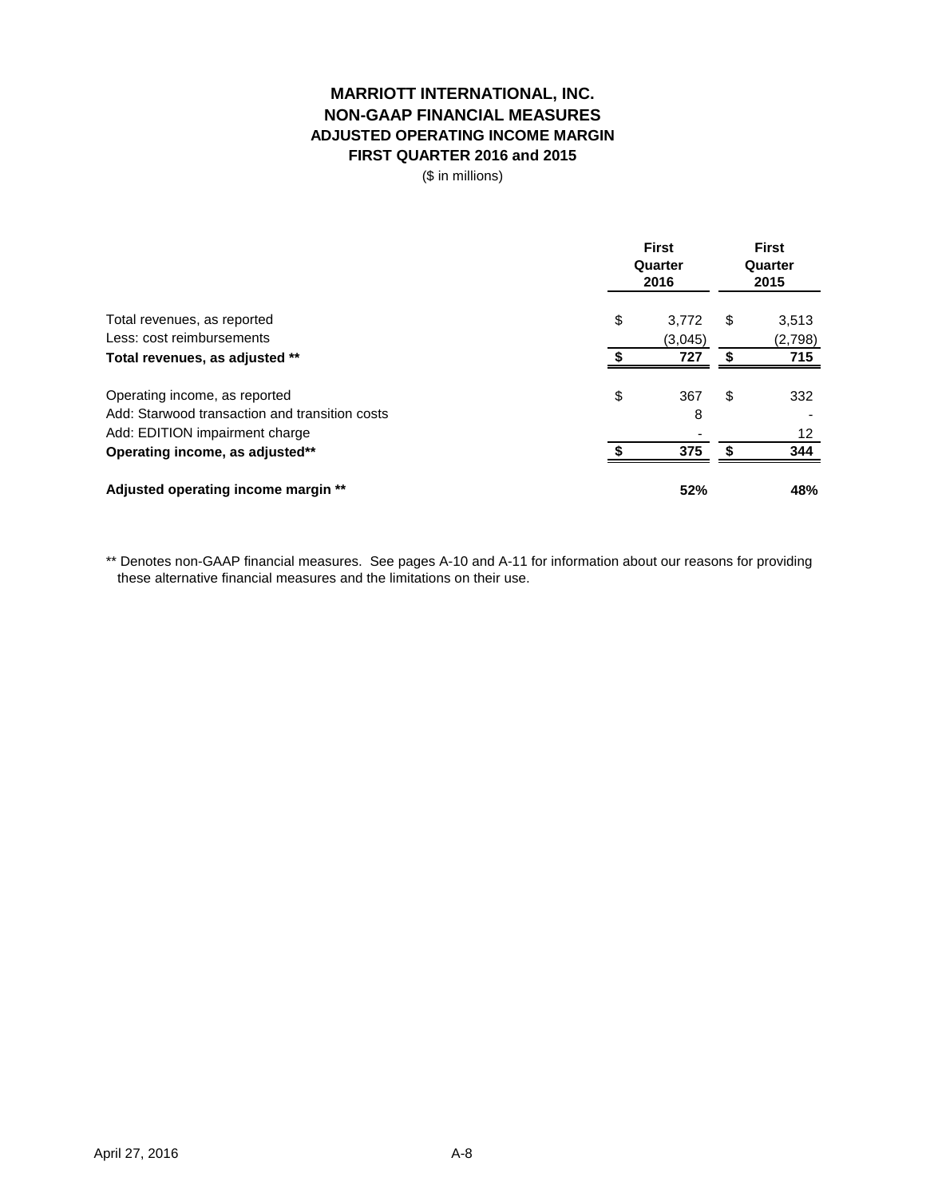# **MARRIOTT INTERNATIONAL, INC. NON-GAAP FINANCIAL MEASURES ADJUSTED OPERATING INCOME MARGIN FIRST QUARTER 2016 and 2015**

(\$ in millions)

|                                                | <b>First</b><br>Quarter<br>2016 |    |         |
|------------------------------------------------|---------------------------------|----|---------|
| Total revenues, as reported                    | \$<br>3.772                     | \$ | 3,513   |
| Less: cost reimbursements                      | (3,045)                         |    | (2,798) |
| Total revenues, as adjusted **                 | 727                             | S  | 715     |
| Operating income, as reported                  | \$<br>367                       | \$ | 332     |
| Add: Starwood transaction and transition costs | 8                               |    |         |
| Add: EDITION impairment charge                 |                                 |    | 12      |
| Operating income, as adjusted**                | 375                             |    | 344     |
| Adjusted operating income margin **            | 52%                             |    | 48%     |

\*\* Denotes non-GAAP financial measures. See pages A-10 and A-11 for information about our reasons for providing these alternative financial measures and the limitations on their use.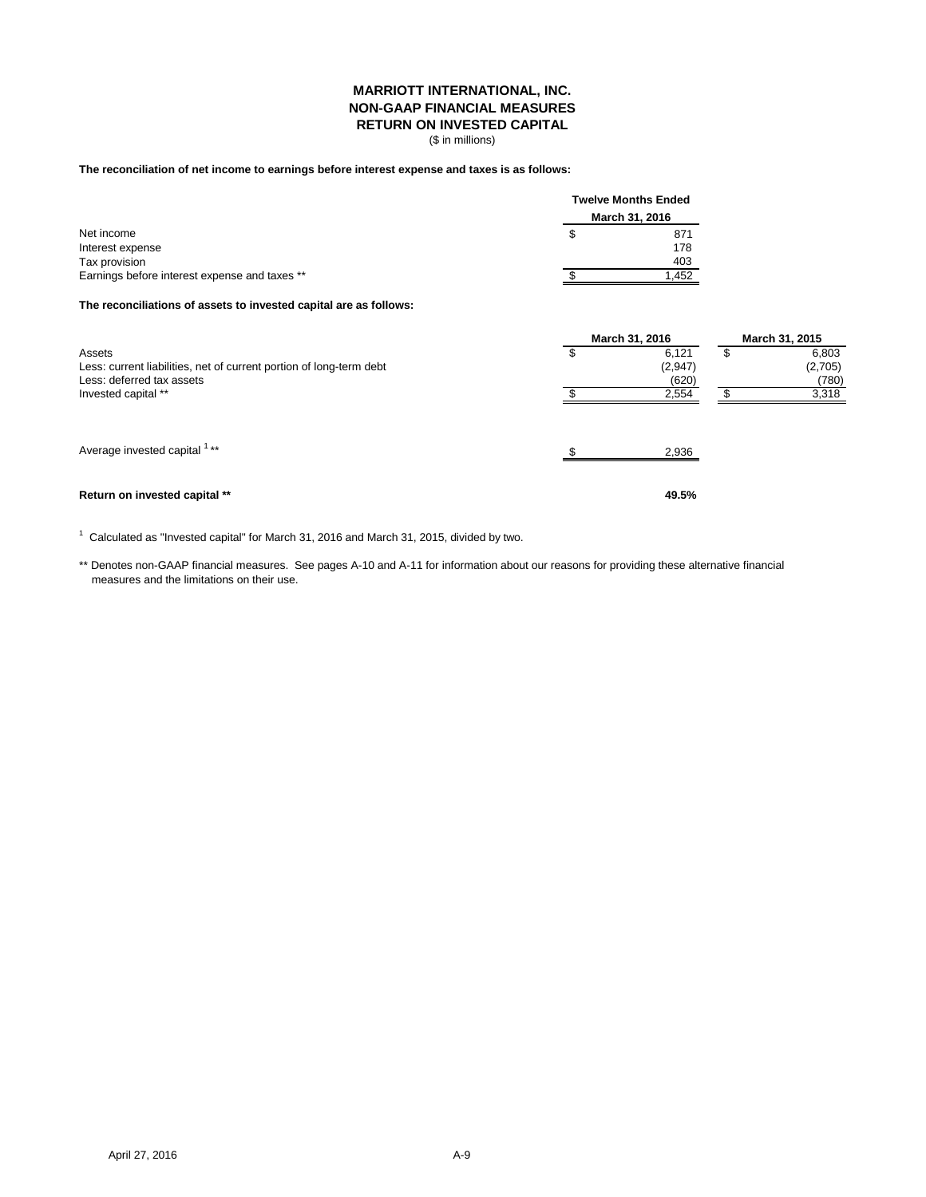#### **MARRIOTT INTERNATIONAL, INC. NON-GAAP FINANCIAL MEASURES RETURN ON INVESTED CAPITAL**

(\$ in millions)

#### **The reconciliation of net income to earnings before interest expense and taxes is as follows:**

|                                               |    | <b>Twelve Months Ended</b><br>March 31, 2016 |  |
|-----------------------------------------------|----|----------------------------------------------|--|
|                                               |    |                                              |  |
| Net income                                    | \$ | 871                                          |  |
| Interest expense                              |    | 178                                          |  |
| Tax provision                                 |    | 403                                          |  |
| Earnings before interest expense and taxes ** |    | 1.452                                        |  |

#### **The reconciliations of assets to invested capital are as follows:**

|                                                                                                            | March 31, 2016 |                           | March 31, 2015 |                           |
|------------------------------------------------------------------------------------------------------------|----------------|---------------------------|----------------|---------------------------|
| Assets<br>Less: current liabilities, net of current portion of long-term debt<br>Less: deferred tax assets | \$.            | 6.121<br>(2,947)<br>(620) | S              | 6,803<br>(2,705)<br>(780) |
| Invested capital **                                                                                        |                | 2,554                     |                | 3,318                     |
| Average invested capital <sup>1**</sup>                                                                    | ◠              | 2,936                     |                |                           |
| Return on invested capital **                                                                              |                | 49.5%                     |                |                           |

 $1$  Calculated as "Invested capital" for March 31, 2016 and March 31, 2015, divided by two.

\*\* Denotes non-GAAP financial measures. See pages A-10 and A-11 for information about our reasons for providing these alternative financial measures and the limitations on their use.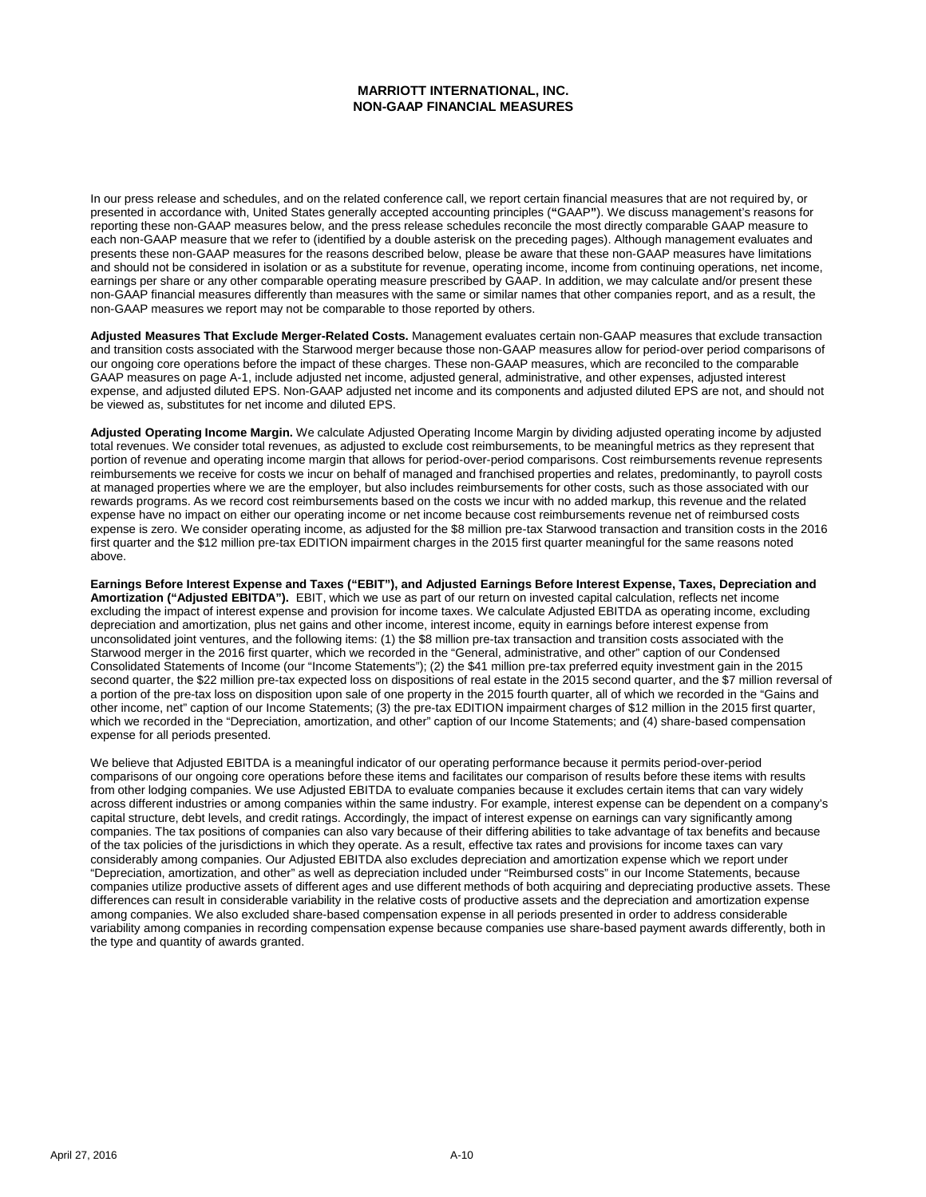#### **MARRIOTT INTERNATIONAL, INC. NON-GAAP FINANCIAL MEASURES**

In our press release and schedules, and on the related conference call, we report certain financial measures that are not required by, or presented in accordance with, United States generally accepted accounting principles (**"**GAAP**"**). We discuss management's reasons for reporting these non-GAAP measures below, and the press release schedules reconcile the most directly comparable GAAP measure to each non-GAAP measure that we refer to (identified by a double asterisk on the preceding pages). Although management evaluates and presents these non-GAAP measures for the reasons described below, please be aware that these non-GAAP measures have limitations and should not be considered in isolation or as a substitute for revenue, operating income, income from continuing operations, net income, earnings per share or any other comparable operating measure prescribed by GAAP. In addition, we may calculate and/or present these non-GAAP financial measures differently than measures with the same or similar names that other companies report, and as a result, the non-GAAP measures we report may not be comparable to those reported by others.

**Adjusted Measures That Exclude Merger-Related Costs.** Management evaluates certain non-GAAP measures that exclude transaction and transition costs associated with the Starwood merger because those non-GAAP measures allow for period-over period comparisons of our ongoing core operations before the impact of these charges. These non-GAAP measures, which are reconciled to the comparable GAAP measures on page A-1, include adjusted net income, adjusted general, administrative, and other expenses, adjusted interest expense, and adjusted diluted EPS. Non-GAAP adjusted net income and its components and adjusted diluted EPS are not, and should not be viewed as, substitutes for net income and diluted EPS.

**Adjusted Operating Income Margin.** We calculate Adjusted Operating Income Margin by dividing adjusted operating income by adjusted total revenues. We consider total revenues, as adjusted to exclude cost reimbursements, to be meaningful metrics as they represent that portion of revenue and operating income margin that allows for period-over-period comparisons. Cost reimbursements revenue represents reimbursements we receive for costs we incur on behalf of managed and franchised properties and relates, predominantly, to payroll costs at managed properties where we are the employer, but also includes reimbursements for other costs, such as those associated with our rewards programs. As we record cost reimbursements based on the costs we incur with no added markup, this revenue and the related expense have no impact on either our operating income or net income because cost reimbursements revenue net of reimbursed costs expense is zero. We consider operating income, as adjusted for the \$8 million pre-tax Starwood transaction and transition costs in the 2016 first quarter and the \$12 million pre-tax EDITION impairment charges in the 2015 first quarter meaningful for the same reasons noted above.

**Earnings Before Interest Expense and Taxes ("EBIT"), and Adjusted Earnings Before Interest Expense, Taxes, Depreciation and Amortization ("Adjusted EBITDA").** EBIT, which we use as part of our return on invested capital calculation, reflects net income excluding the impact of interest expense and provision for income taxes. We calculate Adjusted EBITDA as operating income, excluding depreciation and amortization, plus net gains and other income, interest income, equity in earnings before interest expense from unconsolidated joint ventures, and the following items: (1) the \$8 million pre-tax transaction and transition costs associated with the Starwood merger in the 2016 first quarter, which we recorded in the "General, administrative, and other" caption of our Condensed Consolidated Statements of Income (our "Income Statements"); (2) the \$41 million pre-tax preferred equity investment gain in the 2015 second quarter, the \$22 million pre-tax expected loss on dispositions of real estate in the 2015 second quarter, and the \$7 million reversal of a portion of the pre-tax loss on disposition upon sale of one property in the 2015 fourth quarter, all of which we recorded in the "Gains and other income, net" caption of our Income Statements; (3) the pre-tax EDITION impairment charges of \$12 million in the 2015 first quarter, which we recorded in the "Depreciation, amortization, and other" caption of our Income Statements; and (4) share-based compensation expense for all periods presented.

We believe that Adjusted EBITDA is a meaningful indicator of our operating performance because it permits period-over-period comparisons of our ongoing core operations before these items and facilitates our comparison of results before these items with results from other lodging companies. We use Adjusted EBITDA to evaluate companies because it excludes certain items that can vary widely across different industries or among companies within the same industry. For example, interest expense can be dependent on a company's capital structure, debt levels, and credit ratings. Accordingly, the impact of interest expense on earnings can vary significantly among companies. The tax positions of companies can also vary because of their differing abilities to take advantage of tax benefits and because of the tax policies of the jurisdictions in which they operate. As a result, effective tax rates and provisions for income taxes can vary considerably among companies. Our Adjusted EBITDA also excludes depreciation and amortization expense which we report under "Depreciation, amortization, and other" as well as depreciation included under "Reimbursed costs" in our Income Statements, because companies utilize productive assets of different ages and use different methods of both acquiring and depreciating productive assets. These differences can result in considerable variability in the relative costs of productive assets and the depreciation and amortization expense among companies. We also excluded share-based compensation expense in all periods presented in order to address considerable variability among companies in recording compensation expense because companies use share-based payment awards differently, both in the type and quantity of awards granted.